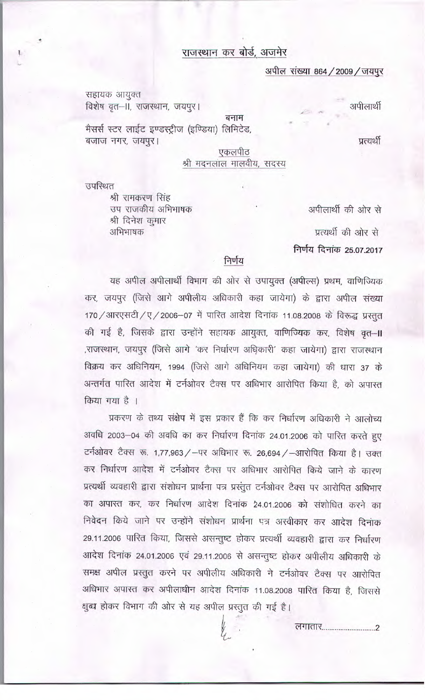## राजस्थान कर बोर्ड, अजमेर

## अपील संख्या 864 / 2009 / जयपूर

सहायक आयुक्त विशेष वृत-II, राजस्थान, जयपूर।

बनाम

मैसर्स स्टर लाईट इण्डस्ट्रीज (इण्डिया) लिमिटेड, बजाज नगर, जयपुर।

प्रत्यर्थी

अपीलार्थी

एकलपीठ श्री मदनलाल मालवीय, सदस्य

उपस्थित

श्री रामकरण सिंह उप राजकीय अभिभाषक श्री दिनेश कुमार अभिभाषक

अपीलार्थी की ओर से

प्रत्यर्थी की ओर से निर्णय दिनांक 25.07.2017

## निर्णय

यह अपील अपीलार्थी विभाग की ओर से उपायुक्त (अपील्स) प्रथम, वाणिज्यिक कर, जयपुर (जिसे आगे अपीलीय अधिकारी कहा जायेगा) के द्वारा अपील संख्या 170 / आरएसटी / ए / 2006-07 में पारित आदेश दिनांक 11.08.2008 के विरूद्ध प्रस्तुत की गई है, जिसके द्वारा उन्होंने सहायक आयुक्त, वाणिज्यिक कर, विशेष वृत्त–॥ ,राजस्थान, जयपुर (जिसे आगे 'कर निर्धारण अधिकारी' कहा जायेगा) द्वारा राजस्थान विक्रय कर अधिनियम, 1994 (जिसे आगे अधिनियम कहा जायेगा) की धारा 37 के अन्तर्गत पारित आदेश में टर्नओवर टैक्स पर अधिभार आरोपित किया है, को अपास्त किया गया है ।

प्रकरण के तथ्य संक्षेप में इस प्रकार हैं कि कर निर्धारण अधिकारी ने आलोच्य अवधि 2003-04 की अवधि का कर निर्धारण दिनांक 24.01.2006 को पारित करते हुए टर्नओवर टैक्स रू. 1,77,963 / - पर अधिभार रू. 26,694 / -आरोपित किया है। उक्त कर निर्धारण आदेश में टर्नओवर टैक्स पर अधिभार आरोपित किये जाने के कारण प्रत्यर्थी व्यवहारी द्वारा संशोधन प्रार्थना पत्र प्रस्तुत टर्नओवर टैक्स पर आरोपित अधिभार का अपारत कर, कर निर्धारण आदेश दिनांक 24.01.2006 को संशोधित करने का निवेदन किये जाने पर उन्होंने संशोधन प्रार्थना एत्र अस्वीकार कर आदेश दिनांक 29.11.2006 पारित किया, जिससे असन्तुष्ट होकर प्रत्यर्थी व्यवहारी द्वारा कर निर्धारण आदेश दिनांक 24.01.2006 एवं 29.11.2006 से असन्तुष्ट होकर अपीलीय अधिकारी के समक्ष अपील प्रस्तुत करने पर अपीलीय अधिकारी ने टर्नओवर टैक्स पर आरोपित अधिभार अपास्त कर अपीलाधीन आदेश दिनांक 11.08.2008 पारित किया है, जिससे क्षब्ध होकर विभाग की ओर से यह अपील प्रस्तुत की गई है।